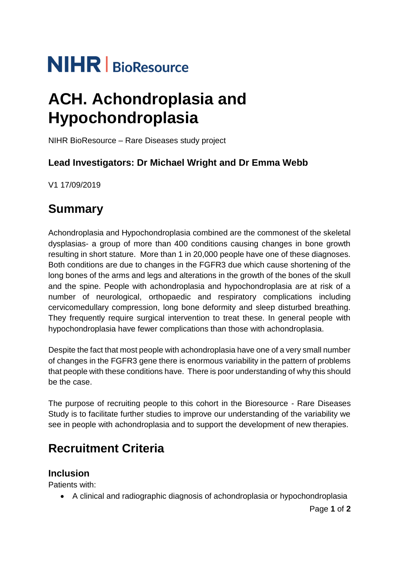# **NIHR** | BioResource

## **ACH. Achondroplasia and Hypochondroplasia**

NIHR BioResource – Rare Diseases study project

### **Lead Investigators: Dr Michael Wright and Dr Emma Webb**

V1 17/09/2019

## **Summary**

Achondroplasia and Hypochondroplasia combined are the commonest of the skeletal dysplasias- a group of more than 400 conditions causing changes in bone growth resulting in short stature. More than 1 in 20,000 people have one of these diagnoses. Both conditions are due to changes in the FGFR3 due which cause shortening of the long bones of the arms and legs and alterations in the growth of the bones of the skull and the spine. People with achondroplasia and hypochondroplasia are at risk of a number of neurological, orthopaedic and respiratory complications including cervicomedullary compression, long bone deformity and sleep disturbed breathing. They frequently require surgical intervention to treat these. In general people with hypochondroplasia have fewer complications than those with achondroplasia.

Despite the fact that most people with achondroplasia have one of a very small number of changes in the FGFR3 gene there is enormous variability in the pattern of problems that people with these conditions have. There is poor understanding of why this should be the case.

The purpose of recruiting people to this cohort in the Bioresource - Rare Diseases Study is to facilitate further studies to improve our understanding of the variability we see in people with achondroplasia and to support the development of new therapies.

## **Recruitment Criteria**

#### **Inclusion**

Patients with:

• A clinical and radiographic diagnosis of achondroplasia or hypochondroplasia